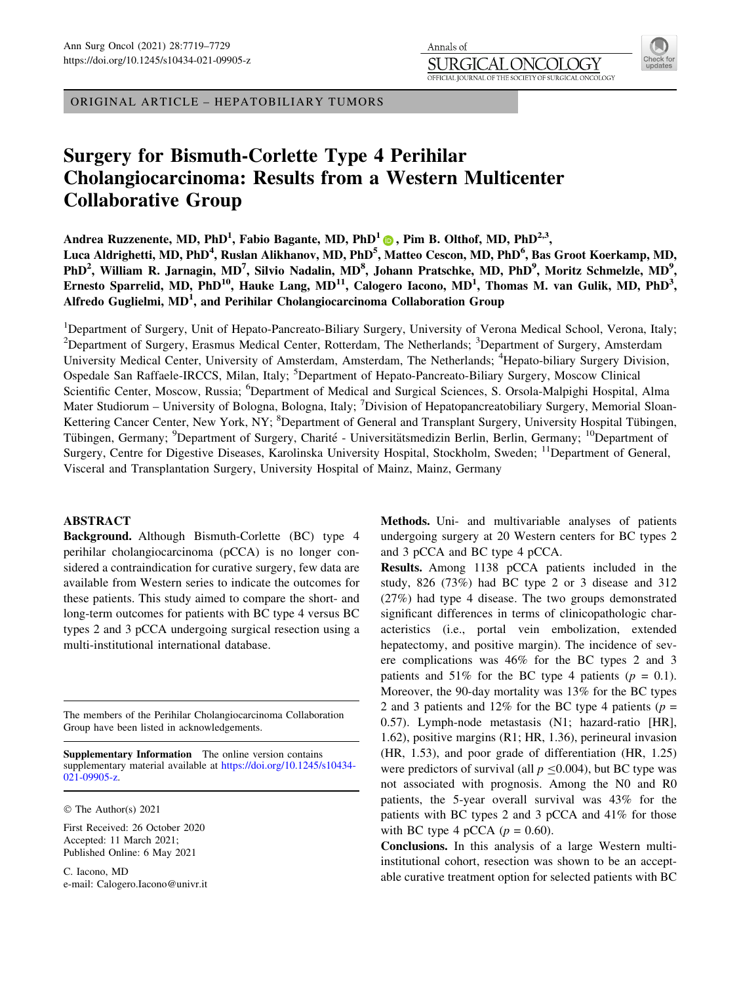ORIGINAL ARTICLE – HEPATOBILIARY TUMORS

# Surgery for Bismuth-Corlette Type 4 Perihilar Cholangiocarcinoma: Results from a Western Multicenter Collaborative Group

Andrea Ruzzenente, MD, PhD<sup>[1](http://orcid.org/0000-0002-5386-0958)</sup>, Fabio Bagante, MD, PhD<sup>1</sup>  $\circledcirc$ , Pim B. Olthof, MD, PhD<sup>2,3</sup>, Luca Aldrighetti, MD, PhD<sup>4</sup>, Ruslan Alikhanov, MD, PhD<sup>5</sup>, Matteo Cescon, MD, PhD<sup>6</sup>, Bas Groot Koerkamp, MD, PhD<sup>2</sup>, William R. Jarnagin, MD<sup>7</sup>, Silvio Nadalin, MD<sup>8</sup>, Johann Pratschke, MD, PhD<sup>9</sup>, Moritz Schmelzle, MD<sup>9</sup>, Ernesto Sparrelid, MD, PhD<sup>10</sup>, Hauke Lang, MD<sup>11</sup>, Calogero Iacono, MD<sup>1</sup>, Thomas M. van Gulik, MD, PhD<sup>3</sup>, Alfredo Guglielmi,  $MD<sup>1</sup>$ , and Perihilar Cholangiocarcinoma Collaboration Group

Annals of SURGIO

<sup>1</sup>Department of Surgery, Unit of Hepato-Pancreato-Biliary Surgery, University of Verona Medical School, Verona, Italy; <sup>2</sup>Department of Surgery, Erasmus Medical Center, Rotterdam, The Netherlands; <sup>3</sup>Department of Surgery, Amsterdam University Medical Center, University of Amsterdam, Amsterdam, The Netherlands; <sup>4</sup>Hepato-biliary Surgery Division, Ospedale San Raffaele-IRCCS, Milan, Italy; <sup>5</sup>Department of Hepato-Pancreato-Biliary Surgery, Moscow Clinical Scientific Center, Moscow, Russia; <sup>6</sup>Department of Medical and Surgical Sciences, S. Orsola-Malpighi Hospital, Alma Mater Studiorum - University of Bologna, Bologna, Italy; <sup>7</sup>Division of Hepatopancreatobiliary Surgery, Memorial Sloan-Kettering Cancer Center, New York, NY; <sup>8</sup>Department of General and Transplant Surgery, University Hospital Tübingen, Tübingen, Germany; <sup>9</sup>Department of Surgery, Charité - Universitätsmedizin Berlin, Berlin, Germany; <sup>10</sup>Department of Surgery, Centre for Digestive Diseases, Karolinska University Hospital, Stockholm, Sweden; 11Department of General, Visceral and Transplantation Surgery, University Hospital of Mainz, Mainz, Germany

# ABSTRACT

Background. Although Bismuth-Corlette (BC) type 4 perihilar cholangiocarcinoma (pCCA) is no longer considered a contraindication for curative surgery, few data are available from Western series to indicate the outcomes for these patients. This study aimed to compare the short- and long-term outcomes for patients with BC type 4 versus BC types 2 and 3 pCCA undergoing surgical resection using a multi-institutional international database.

The members of the Perihilar Cholangiocarcinoma Collaboration Group have been listed in acknowledgements.

Supplementary Information The online version contains supplementary material available at [https://doi.org/10.1245/s10434-](https://doi.org/10.1245/s10434-021-09905-z) [021-09905-z.](https://doi.org/10.1245/s10434-021-09905-z)

© The Author(s) 2021

First Received: 26 October 2020 Accepted: 11 March 2021; Published Online: 6 May 2021

C. Iacono, MD e-mail: Calogero.Iacono@univr.it Methods. Uni- and multivariable analyses of patients undergoing surgery at 20 Western centers for BC types 2 and 3 pCCA and BC type 4 pCCA.

Results. Among 1138 pCCA patients included in the study, 826 (73%) had BC type 2 or 3 disease and 312 (27%) had type 4 disease. The two groups demonstrated significant differences in terms of clinicopathologic characteristics (i.e., portal vein embolization, extended hepatectomy, and positive margin). The incidence of severe complications was 46% for the BC types 2 and 3 patients and 51% for the BC type 4 patients ( $p = 0.1$ ). Moreover, the 90-day mortality was 13% for the BC types 2 and 3 patients and 12% for the BC type 4 patients ( $p =$ 0.57). Lymph-node metastasis (N1; hazard-ratio [HR], 1.62), positive margins (R1; HR, 1.36), perineural invasion (HR, 1.53), and poor grade of differentiation (HR, 1.25) were predictors of survival (all  $p \le 0.004$ ), but BC type was not associated with prognosis. Among the N0 and R0 patients, the 5-year overall survival was 43% for the patients with BC types 2 and 3 pCCA and 41% for those with BC type 4 pCCA ( $p = 0.60$ ).

Conclusions. In this analysis of a large Western multiinstitutional cohort, resection was shown to be an acceptable curative treatment option for selected patients with BC

L X TY

OFFICIAL JOURNAL OF THE SOCIETY OF SURGICAL ONCOLOGY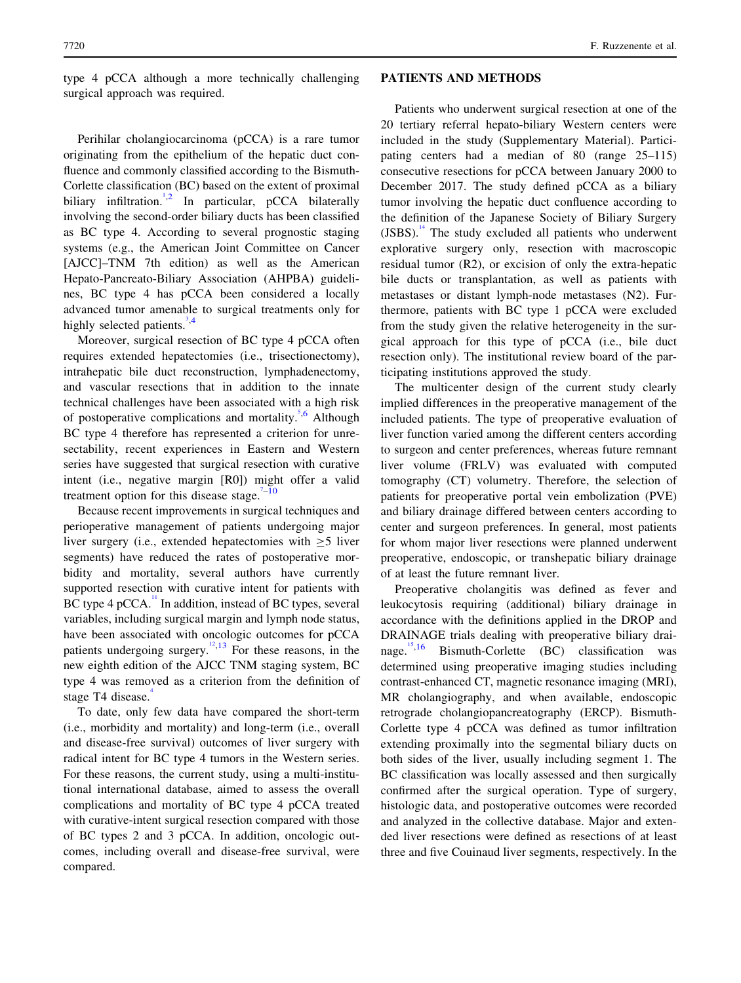type 4 pCCA although a more technically challenging surgical approach was required.

Perihilar cholangiocarcinoma (pCCA) is a rare tumor originating from the epithelium of the hepatic duct confluence and commonly classified according to the Bismuth-Corlette classification (BC) based on the extent of proximal biliary infiltration.<sup>[1,2](#page-10-0)</sup> In particular, pCCA bilaterally involving the second-order biliary ducts has been classified as BC type 4. According to several prognostic staging systems (e.g., the American Joint Committee on Cancer [AJCC]–TNM 7th edition) as well as the American Hepato-Pancreato-Biliary Association (AHPBA) guidelines, BC type 4 has pCCA been considered a locally advanced tumor amenable to surgical treatments only for highly selected patients.<sup>[3,4](#page-10-0)</sup>

Moreover, surgical resection of BC type 4 pCCA often requires extended hepatectomies (i.e., trisectionectomy), intrahepatic bile duct reconstruction, lymphadenectomy, and vascular resections that in addition to the innate technical challenges have been associated with a high risk of postoperative complications and mortality.<sup>[5,6](#page-10-0)</sup> Although BC type 4 therefore has represented a criterion for unresectability, recent experiences in Eastern and Western series have suggested that surgical resection with curative intent (i.e., negative margin [R0]) might offer a valid treatment option for this disease stage. $1-10$ 

Because recent improvements in surgical techniques and perioperative management of patients undergoing major liver surgery (i.e., extended hepatectomies with  $\geq 5$  liver segments) have reduced the rates of postoperative morbidity and mortality, several authors have currently supported resection with curative intent for patients with BC type 4 pCCA.<sup>[11](#page-10-0)</sup> In addition, instead of BC types, several variables, including surgical margin and lymph node status, have been associated with oncologic outcomes for pCCA patients undergoing surgery.<sup>[12](#page-10-0),[13](#page-10-0)</sup> For these reasons, in the new eighth edition of the AJCC TNM staging system, BC type 4 was removed as a criterion from the definition of stage T[4](#page-10-0) disease.

To date, only few data have compared the short-term (i.e., morbidity and mortality) and long-term (i.e., overall and disease-free survival) outcomes of liver surgery with radical intent for BC type 4 tumors in the Western series. For these reasons, the current study, using a multi-institutional international database, aimed to assess the overall complications and mortality of BC type 4 pCCA treated with curative-intent surgical resection compared with those of BC types 2 and 3 pCCA. In addition, oncologic outcomes, including overall and disease-free survival, were compared.

#### PATIENTS AND METHODS

Patients who underwent surgical resection at one of the 20 tertiary referral hepato-biliary Western centers were included in the study (Supplementary Material). Participating centers had a median of 80 (range 25–115) consecutive resections for pCCA between January 2000 to December 2017. The study defined pCCA as a biliary tumor involving the hepatic duct confluence according to the definition of the Japanese Society of Biliary Surgery (JSBS).<sup>[14](#page-10-0)</sup> The study excluded all patients who underwent explorative surgery only, resection with macroscopic residual tumor (R2), or excision of only the extra-hepatic bile ducts or transplantation, as well as patients with metastases or distant lymph-node metastases (N2). Furthermore, patients with BC type 1 pCCA were excluded from the study given the relative heterogeneity in the surgical approach for this type of pCCA (i.e., bile duct resection only). The institutional review board of the participating institutions approved the study.

The multicenter design of the current study clearly implied differences in the preoperative management of the included patients. The type of preoperative evaluation of liver function varied among the different centers according to surgeon and center preferences, whereas future remnant liver volume (FRLV) was evaluated with computed tomography (CT) volumetry. Therefore, the selection of patients for preoperative portal vein embolization (PVE) and biliary drainage differed between centers according to center and surgeon preferences. In general, most patients for whom major liver resections were planned underwent preoperative, endoscopic, or transhepatic biliary drainage of at least the future remnant liver.

Preoperative cholangitis was defined as fever and leukocytosis requiring (additional) biliary drainage in accordance with the definitions applied in the DROP and DRAINAGE trials dealing with preoperative biliary drainage. $15,16$  Bismuth-Corlette (BC) classification was determined using preoperative imaging studies including contrast-enhanced CT, magnetic resonance imaging (MRI), MR cholangiography, and when available, endoscopic retrograde cholangiopancreatography (ERCP). Bismuth-Corlette type 4 pCCA was defined as tumor infiltration extending proximally into the segmental biliary ducts on both sides of the liver, usually including segment 1. The BC classification was locally assessed and then surgically confirmed after the surgical operation. Type of surgery, histologic data, and postoperative outcomes were recorded and analyzed in the collective database. Major and extended liver resections were defined as resections of at least three and five Couinaud liver segments, respectively. In the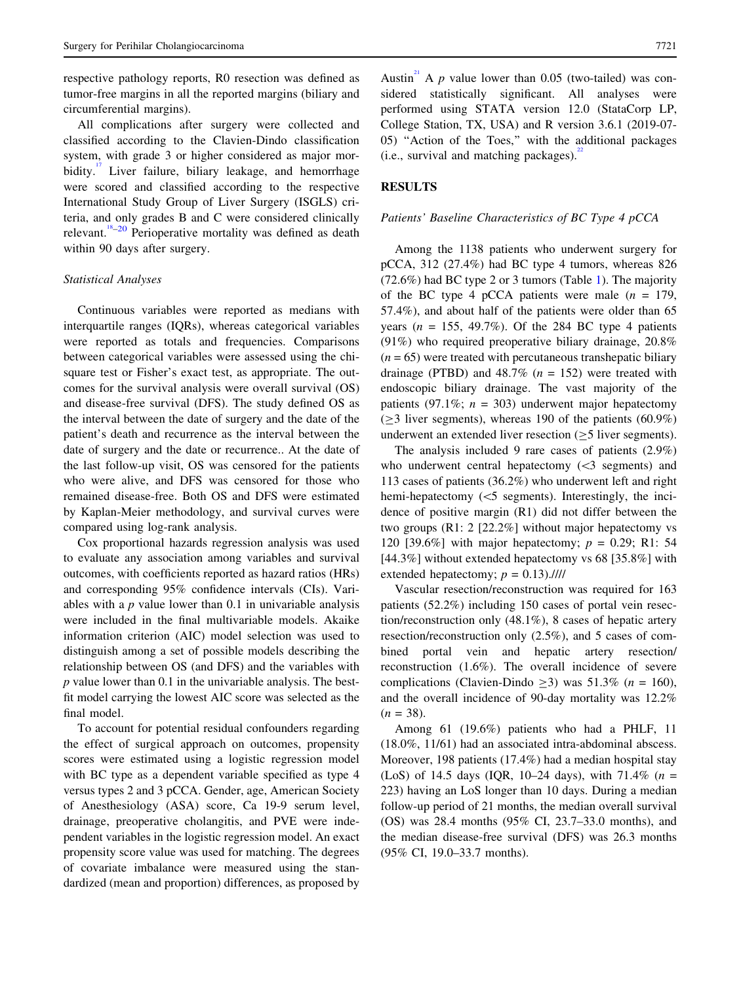respective pathology reports, R0 resection was defined as tumor-free margins in all the reported margins (biliary and circumferential margins).

All complications after surgery were collected and classified according to the Clavien-Dindo classification system, with grade 3 or higher considered as major morbidity. $\overline{1}$  Liver failure, biliary leakage, and hemorrhage were scored and classified according to the respective International Study Group of Liver Surgery (ISGLS) criteria, and only grades B and C were considered clinically relevant.<sup>18</sup>–20 Perioperative mortality was defined as death within 90 days after surgery.

# Statistical Analyses

Continuous variables were reported as medians with interquartile ranges (IQRs), whereas categorical variables were reported as totals and frequencies. Comparisons between categorical variables were assessed using the chisquare test or Fisher's exact test, as appropriate. The outcomes for the survival analysis were overall survival (OS) and disease-free survival (DFS). The study defined OS as the interval between the date of surgery and the date of the patient's death and recurrence as the interval between the date of surgery and the date or recurrence.. At the date of the last follow-up visit, OS was censored for the patients who were alive, and DFS was censored for those who remained disease-free. Both OS and DFS were estimated by Kaplan-Meier methodology, and survival curves were compared using log-rank analysis.

Cox proportional hazards regression analysis was used to evaluate any association among variables and survival outcomes, with coefficients reported as hazard ratios (HRs) and corresponding 95% confidence intervals (CIs). Variables with a  $p$  value lower than 0.1 in univariable analysis were included in the final multivariable models. Akaike information criterion (AIC) model selection was used to distinguish among a set of possible models describing the relationship between OS (and DFS) and the variables with p value lower than 0.1 in the univariable analysis. The bestfit model carrying the lowest AIC score was selected as the final model.

To account for potential residual confounders regarding the effect of surgical approach on outcomes, propensity scores were estimated using a logistic regression model with BC type as a dependent variable specified as type 4 versus types 2 and 3 pCCA. Gender, age, American Society of Anesthesiology (ASA) score, Ca 19-9 serum level, drainage, preoperative cholangitis, and PVE were independent variables in the logistic regression model. An exact propensity score value was used for matching. The degrees of covariate imbalance were measured using the standardized (mean and proportion) differences, as proposed by

Austin<sup>[21](#page-10-0)</sup> A p value lower than 0.05 (two-tailed) was considered statistically significant. All analyses were performed using STATA version 12.0 (StataCorp LP, College Station, TX, USA) and R version 3.6.1 (2019-07- 05) ''Action of the Toes,'' with the additional packages (i.e., survival and matching packages).

## **RESULTS**

### Patients' Baseline Characteristics of BC Type 4 pCCA

Among the 1138 patients who underwent surgery for pCCA, 312 (27.4%) had BC type 4 tumors, whereas 826 (72.6%) had BC type 2 or 3 tumors (Table [1\)](#page-3-0). The majority of the BC type 4 pCCA patients were male  $(n = 179)$ , 57.4%), and about half of the patients were older than 65 years ( $n = 155$ , 49.7%). Of the 284 BC type 4 patients (91%) who required preoperative biliary drainage, 20.8%  $(n = 65)$  were treated with percutaneous transhepatic biliary drainage (PTBD) and  $48.7\%$  ( $n = 152$ ) were treated with endoscopic biliary drainage. The vast majority of the patients (97.1%;  $n = 303$ ) underwent major hepatectomy  $(\geq 3$  liver segments), whereas 190 of the patients (60.9%) underwent an extended liver resection  $(>5$  liver segments).

The analysis included 9 rare cases of patients (2.9%) who underwent central hepatectomy  $( $3$  segments)$  and 113 cases of patients (36.2%) who underwent left and right hemi-hepatectomy  $(<5$  segments). Interestingly, the incidence of positive margin (R1) did not differ between the two groups (R1: 2 [22.2%] without major hepatectomy vs 120 [39.6%] with major hepatectomy;  $p = 0.29$ ; R1: 54 [44.3%] without extended hepatectomy vs 68 [35.8%] with extended hepatectomy;  $p = 0.13$ .////

Vascular resection/reconstruction was required for 163 patients (52.2%) including 150 cases of portal vein resection/reconstruction only (48.1%), 8 cases of hepatic artery resection/reconstruction only (2.5%), and 5 cases of combined portal vein and hepatic artery resection/ reconstruction (1.6%). The overall incidence of severe complications (Clavien-Dindo > 3) was  $51.3\%$  (n = 160), and the overall incidence of 90-day mortality was 12.2%  $(n = 38)$ .

Among 61 (19.6%) patients who had a PHLF, 11 (18.0%, 11/61) had an associated intra-abdominal abscess. Moreover, 198 patients (17.4%) had a median hospital stay (LoS) of 14.5 days (IQR, 10–24 days), with 71.4% ( $n =$ 223) having an LoS longer than 10 days. During a median follow-up period of 21 months, the median overall survival (OS) was 28.4 months (95% CI, 23.7–33.0 months), and the median disease-free survival (DFS) was 26.3 months (95% CI, 19.0–33.7 months).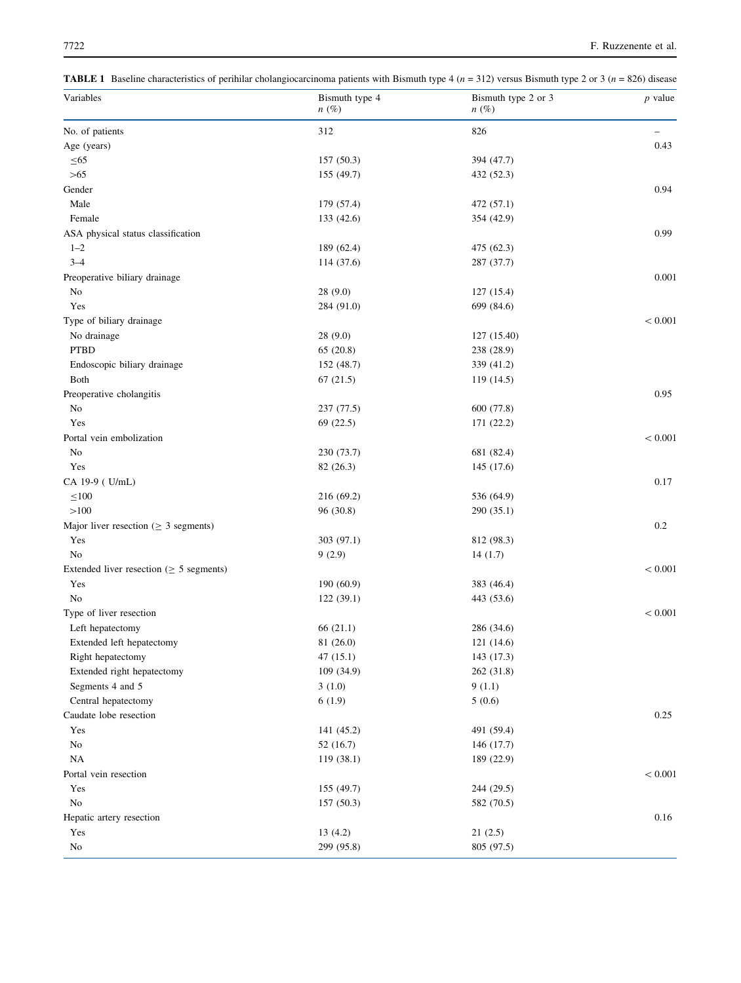<span id="page-3-0"></span>**TABLE 1** Baseline characteristics of perihilar cholangiocarcinoma patients with Bismuth type 4 ( $n = 312$ ) versus Bismuth type 2 or 3 ( $n = 826$ ) disease

| Variables                                     | Bismuth type 4<br>$n(\%)$ | Bismuth type 2 or 3<br>$n(\%)$ | $p$ value         |
|-----------------------------------------------|---------------------------|--------------------------------|-------------------|
| No. of patients                               | 312                       | 826                            | $\qquad \qquad -$ |
| Age (years)                                   |                           |                                | 0.43              |
| $\leq 65$                                     | 157(50.3)                 | 394 (47.7)                     |                   |
| $>65$                                         | 155 (49.7)                | 432 (52.3)                     |                   |
| Gender                                        |                           |                                | 0.94              |
| Male                                          | 179 (57.4)                | 472 (57.1)                     |                   |
| Female                                        | 133 (42.6)                | 354 (42.9)                     |                   |
| ASA physical status classification            |                           |                                | 0.99              |
| $1 - 2$                                       | 189 (62.4)                | 475 (62.3)                     |                   |
| $3 - 4$                                       | 114 (37.6)                | 287 (37.7)                     |                   |
| Preoperative biliary drainage                 |                           |                                | $0.001\,$         |
| No                                            | 28(9.0)                   | 127(15.4)                      |                   |
| Yes                                           | 284 (91.0)                | 699 (84.6)                     |                   |
| Type of biliary drainage                      |                           |                                | < 0.001           |
| No drainage                                   | 28(9.0)                   | 127 (15.40)                    |                   |
| <b>PTBD</b>                                   | 65(20.8)                  | 238 (28.9)                     |                   |
| Endoscopic biliary drainage                   | 152 (48.7)                | 339 (41.2)                     |                   |
| Both                                          | 67(21.5)                  | 119(14.5)                      |                   |
|                                               |                           |                                | 0.95              |
| Preoperative cholangitis<br>No                | 237(77.5)                 | 600 (77.8)                     |                   |
| Yes                                           | 69 (22.5)                 | 171(22.2)                      |                   |
|                                               |                           |                                |                   |
| Portal vein embolization                      |                           |                                | < 0.001           |
| No                                            | 230 (73.7)                | 681 (82.4)                     |                   |
| Yes                                           | 82(26.3)                  | 145 (17.6)                     |                   |
| CA 19-9 (U/mL)                                |                           |                                | 0.17              |
| $\leq 100$                                    | 216 (69.2)                | 536 (64.9)                     |                   |
| >100                                          | 96 (30.8)                 | 290(35.1)                      |                   |
| Major liver resection ( $\geq$ 3 segments)    |                           |                                | 0.2               |
| Yes                                           | 303 (97.1)                | 812 (98.3)                     |                   |
| No                                            | 9(2.9)                    | 14(1.7)                        |                   |
| Extended liver resection ( $\geq$ 5 segments) |                           |                                | < 0.001           |
| Yes                                           | 190(60.9)                 | 383 (46.4)                     |                   |
| No                                            | 122(39.1)                 | 443 (53.6)                     |                   |
| Type of liver resection                       |                           |                                | < 0.001           |
| Left hepatectomy                              | 66 (21.1)                 | 286 (34.6)                     |                   |
| Extended left hepatectomy                     | 81 (26.0)                 | 121(14.6)                      |                   |
| Right hepatectomy                             | 47(15.1)                  | 143 (17.3)                     |                   |
| Extended right hepatectomy                    | 109 (34.9)                | 262 (31.8)                     |                   |
| Segments 4 and 5                              | 3(1.0)                    | 9(1.1)                         |                   |
| Central hepatectomy                           | 6(1.9)                    | 5(0.6)                         |                   |
| Caudate lobe resection                        |                           |                                | 0.25              |
| Yes                                           | 141 (45.2)                | 491 (59.4)                     |                   |
| $\rm No$                                      | 52(16.7)                  | 146 (17.7)                     |                   |
| $_{\rm NA}$                                   | 119 (38.1)                | 189 (22.9)                     |                   |
| Portal vein resection                         |                           |                                | $< 0.001\,$       |
| Yes                                           | 155 (49.7)                | 244 (29.5)                     |                   |
| $\rm No$                                      | 157(50.3)                 | 582 (70.5)                     |                   |
| Hepatic artery resection                      |                           |                                | 0.16              |
| Yes                                           | 13(4.2)                   | 21(2.5)                        |                   |
| No                                            | 299 (95.8)                | 805 (97.5)                     |                   |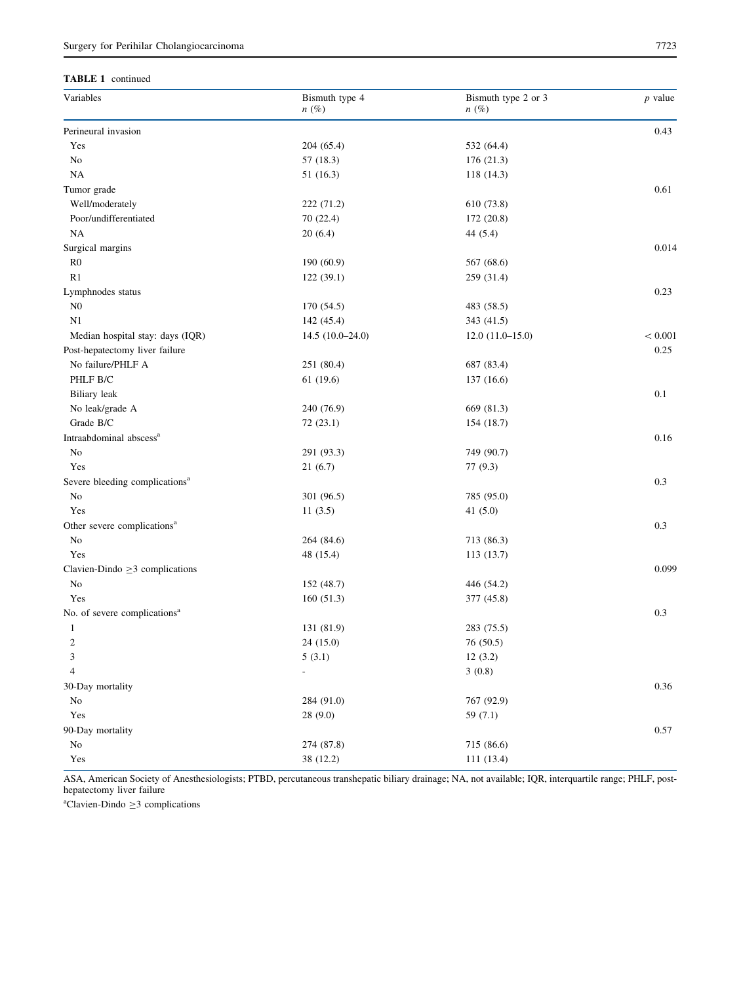### TABLE 1 continued

| Variables                                  | Bismuth type 4<br>$n(\%)$ | Bismuth type 2 or 3<br>$n(\%)$ | $p$ value |
|--------------------------------------------|---------------------------|--------------------------------|-----------|
| Perineural invasion                        |                           |                                | 0.43      |
| Yes                                        | 204 (65.4)                | 532 (64.4)                     |           |
| $\rm No$                                   | 57(18.3)                  | 176 (21.3)                     |           |
| NA                                         | 51(16.3)                  | 118(14.3)                      |           |
| Tumor grade                                |                           |                                | 0.61      |
| Well/moderately                            | 222 (71.2)                | 610 (73.8)                     |           |
| Poor/undifferentiated                      | 70 (22.4)                 | 172(20.8)                      |           |
| NA                                         | 20(6.4)                   | 44 $(5.4)$                     |           |
| Surgical margins                           |                           |                                | 0.014     |
| R <sub>0</sub>                             | 190 (60.9)                | 567 (68.6)                     |           |
| R1                                         | 122 (39.1)                | 259 (31.4)                     |           |
| Lymphnodes status                          |                           |                                | 0.23      |
| ${\rm N0}$                                 | 170 (54.5)                | 483 (58.5)                     |           |
| N1                                         | 142 (45.4)                | 343 (41.5)                     |           |
| Median hospital stay: days (IQR)           | $14.5(10.0-24.0)$         | $12.0(11.0-15.0)$              | < 0.001   |
| Post-hepatectomy liver failure             |                           |                                | 0.25      |
| No failure/PHLF A                          | 251 (80.4)                | 687 (83.4)                     |           |
| PHLF B/C                                   | 61(19.6)                  | 137(16.6)                      |           |
| Biliary leak                               |                           |                                | 0.1       |
| No leak/grade A                            | 240 (76.9)                | 669 (81.3)                     |           |
| Grade B/C                                  | 72(23.1)                  | 154 (18.7)                     |           |
| Intraabdominal abscess <sup>a</sup>        |                           |                                | 0.16      |
| No                                         | 291 (93.3)                | 749 (90.7)                     |           |
| Yes                                        | 21(6.7)                   | 77(9.3)                        |           |
| Severe bleeding complications <sup>a</sup> |                           |                                | 0.3       |
| No                                         | 301 (96.5)                | 785 (95.0)                     |           |
| Yes                                        | 11(3.5)                   | 41(5.0)                        |           |
| Other severe complications <sup>a</sup>    |                           |                                | 0.3       |
| No                                         | 264 (84.6)                | 713 (86.3)                     |           |
| Yes                                        | 48 (15.4)                 | 113(13.7)                      |           |
| Clavien-Dindo $\geq$ 3 complications       |                           |                                | 0.099     |
| No                                         | 152 (48.7)                | 446 (54.2)                     |           |
| Yes                                        | 160(51.3)                 | 377 (45.8)                     |           |
| No. of severe complications <sup>a</sup>   |                           |                                | 0.3       |
| $\mathbf{1}$                               | 131 (81.9)                | 283 (75.5)                     |           |
| $\overline{c}$                             | 24 (15.0)                 | 76 (50.5)                      |           |
| 3                                          | 5(3.1)                    | 12(3.2)                        |           |
| $\overline{4}$                             | $\mathbb{L}$              | 3(0.8)                         |           |
| 30-Day mortality                           |                           |                                | 0.36      |
| $\rm No$                                   | 284 (91.0)                | 767 (92.9)                     |           |
| Yes                                        | 28(9.0)                   | 59 $(7.1)$                     |           |
| 90-Day mortality                           |                           |                                | 0.57      |
| No                                         | 274 (87.8)                | 715 (86.6)                     |           |
| $\operatorname{Yes}$                       | 38 (12.2)                 | 111 (13.4)                     |           |

ASA, American Society of Anesthesiologists; PTBD, percutaneous transhepatic biliary drainage; NA, not available; IQR, interquartile range; PHLF, posthepatectomy liver failure

 $\text{a}$ Clavien-Dindo  $\geq$ 3 complications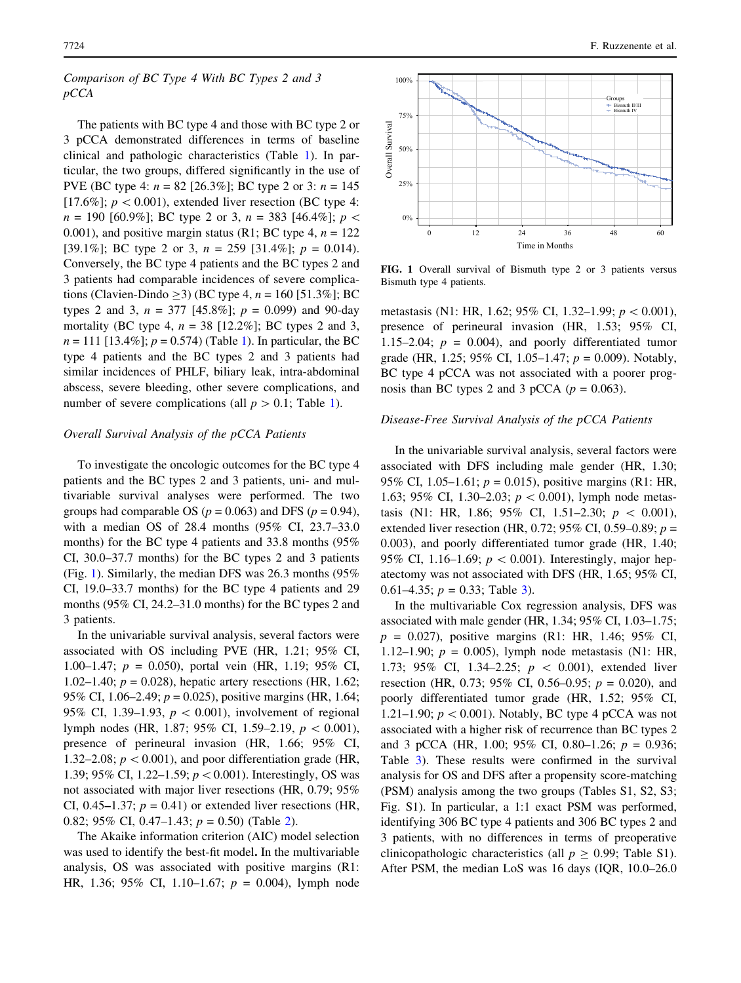# Comparison of BC Type 4 With BC Types 2 and 3 pCCA

The patients with BC type 4 and those with BC type 2 or 3 pCCA demonstrated differences in terms of baseline clinical and pathologic characteristics (Table [1\)](#page-3-0). In particular, the two groups, differed significantly in the use of PVE (BC type 4:  $n = 82$  [26.3%]; BC type 2 or 3:  $n = 145$ [17.6%];  $p < 0.001$ ), extended liver resection (BC type 4:  $n = 190$  [60.9%]; BC type 2 or 3,  $n = 383$  [46.4%];  $p <$ 0.001), and positive margin status (R1; BC type 4,  $n = 122$ ) [39.1%]; BC type 2 or 3,  $n = 259$  [31.4%];  $p = 0.014$ ). Conversely, the BC type 4 patients and the BC types 2 and 3 patients had comparable incidences of severe complications (Clavien-Dindo > 3) (BC type 4,  $n = 160$  [51.3%]; BC types 2 and 3,  $n = 377$  [45.8%];  $p = 0.099$ ) and 90-day mortality (BC type 4,  $n = 38$  [12.2%]; BC types 2 and 3,  $n = 111$  [13.4%];  $p = 0.574$ ) (Table [1\)](#page-3-0). In particular, the BC type 4 patients and the BC types 2 and 3 patients had similar incidences of PHLF, biliary leak, intra-abdominal abscess, severe bleeding, other severe complications, and number of severe complications (all  $p > 0.1$ ; Table [1\)](#page-3-0).

## Overall Survival Analysis of the pCCA Patients

To investigate the oncologic outcomes for the BC type 4 patients and the BC types 2 and 3 patients, uni- and multivariable survival analyses were performed. The two groups had comparable OS ( $p = 0.063$ ) and DFS ( $p = 0.94$ ), with a median OS of 28.4 months (95% CI, 23.7–33.0 months) for the BC type 4 patients and 33.8 months (95% CI, 30.0–37.7 months) for the BC types 2 and 3 patients (Fig. 1). Similarly, the median DFS was 26.3 months (95% CI, 19.0–33.7 months) for the BC type 4 patients and 29 months (95% CI, 24.2–31.0 months) for the BC types 2 and 3 patients.

In the univariable survival analysis, several factors were associated with OS including PVE (HR, 1.21; 95% CI, 1.00–1.47;  $p = 0.050$ , portal vein (HR, 1.19; 95% CI, 1.02–1.40;  $p = 0.028$ ), hepatic artery resections (HR, 1.62; 95% CI, 1.06–2.49;  $p = 0.025$ ), positive margins (HR, 1.64; 95% CI, 1.39–1.93,  $p \, < 0.001$ ), involvement of regional lymph nodes (HR, 1.87; 95% CI, 1.59–2.19,  $p \, < 0.001$ ), presence of perineural invasion (HR, 1.66; 95% CI, 1.32–2.08;  $p < 0.001$ ), and poor differentiation grade (HR, 1.39; 95% CI, 1.22–1.59;  $p < 0.001$ ). Interestingly, OS was not associated with major liver resections (HR, 0.79; 95% CI, 0.45–1.37;  $p = 0.41$ ) or extended liver resections (HR, 0.82; 95% CI, 0.47–1.43;  $p = 0.50$ ) (Table [2\)](#page-6-0).

The Akaike information criterion (AIC) model selection was used to identify the best-fit model. In the multivariable analysis, OS was associated with positive margins (R1: HR, 1.36; 95% CI, 1.10–1.67;  $p = 0.004$ ), lymph node



FIG. 1 Overall survival of Bismuth type 2 or 3 patients versus Bismuth type 4 patients.

metastasis (N1: HR, 1.62; 95% CI, 1.32–1.99;  $p < 0.001$ ), presence of perineural invasion (HR, 1.53; 95% CI, 1.15–2.04;  $p = 0.004$ ), and poorly differentiated tumor grade (HR, 1.25; 95% CI, 1.05–1.47;  $p = 0.009$ ). Notably, BC type 4 pCCA was not associated with a poorer prognosis than BC types 2 and 3 pCCA ( $p = 0.063$ ).

## Disease-Free Survival Analysis of the pCCA Patients

In the univariable survival analysis, several factors were associated with DFS including male gender (HR, 1.30; 95% CI, 1.05–1.61;  $p = 0.015$ ), positive margins (R1: HR, 1.63; 95% CI, 1.30–2.03;  $p < 0.001$ ), lymph node metastasis (N1: HR, 1.86; 95% CI, 1.51–2.30;  $p \, < \, 0.001$ ), extended liver resection (HR, 0.72; 95% CI, 0.59–0.89;  $p =$ 0.003), and poorly differentiated tumor grade (HR, 1.40; 95% CI, 1.16–1.69;  $p < 0.001$ ). Interestingly, major hepatectomy was not associated with DFS (HR, 1.65; 95% CI, 0.61–4.[3](#page-6-0)5;  $p = 0.33$ ; Table 3).

In the multivariable Cox regression analysis, DFS was associated with male gender (HR, 1.34; 95% CI, 1.03–1.75;  $p = 0.027$ , positive margins (R1: HR, 1.46; 95% CI, 1.12–1.90;  $p = 0.005$ ), lymph node metastasis (N1: HR, 1.73; 95% CI, 1.34–2.25;  $p \, < \, 0.001$ ), extended liver resection (HR, 0.73; 95% CI, 0.56–0.95;  $p = 0.020$ ), and poorly differentiated tumor grade (HR, 1.52; 95% CI, 1.21–1.90;  $p < 0.001$ ). Notably, BC type 4 pCCA was not associated with a higher risk of recurrence than BC types 2 and 3 pCCA (HR, 1.00; 95% CI, 0.80–1.26;  $p = 0.936$ ; Table [3](#page-6-0)). These results were confirmed in the survival analysis for OS and DFS after a propensity score-matching (PSM) analysis among the two groups (Tables S1, S2, S3; Fig. S1). In particular, a 1:1 exact PSM was performed, identifying 306 BC type 4 patients and 306 BC types 2 and 3 patients, with no differences in terms of preoperative clinicopathologic characteristics (all  $p \ge 0.99$ ; Table S1). After PSM, the median LoS was 16 days (IQR, 10.0–26.0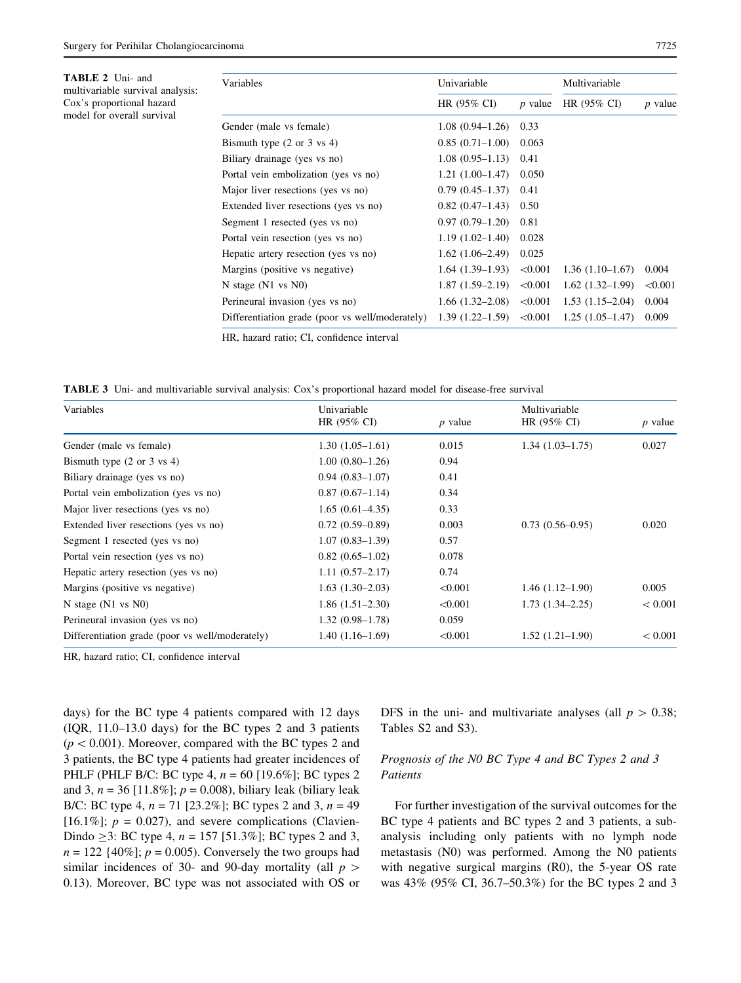<span id="page-6-0"></span>

| Variables                                       | Univariable            |           | Multivariable     |           |
|-------------------------------------------------|------------------------|-----------|-------------------|-----------|
|                                                 | HR $(95\% \text{ CI})$ | $p$ value | $HR (95\% CI)$    | $p$ value |
| Gender (male vs female)                         | $1.08(0.94 - 1.26)$    | 0.33      |                   |           |
| Bismuth type $(2 \text{ or } 3 \text{ vs } 4)$  | $0.85(0.71-1.00)$      | 0.063     |                   |           |
| Biliary drainage (yes vs no)                    | $1.08(0.95 - 1.13)$    | 0.41      |                   |           |
| Portal vein embolization (yes vs no)            | $1.21(1.00-1.47)$      | 0.050     |                   |           |
| Major liver resections (yes vs no)              | $0.79(0.45 - 1.37)$    | 0.41      |                   |           |
| Extended liver resections (yes vs no)           | $0.82(0.47-1.43)$      | 0.50      |                   |           |
| Segment 1 resected (yes vs no)                  | $0.97(0.79-1.20)$      | 0.81      |                   |           |
| Portal vein resection (yes vs no)               | $1.19(1.02 - 1.40)$    | 0.028     |                   |           |
| Hepatic artery resection (yes vs no)            | $1.62(1.06-2.49)$      | 0.025     |                   |           |
| Margins (positive vs negative)                  | $1.64(1.39-1.93)$      | < 0.001   | $1.36(1.10-1.67)$ | 0.004     |
| N stage $(N1 \text{ vs } N0)$                   | $1.87(1.59-2.19)$      | < 0.001   | $1.62(1.32-1.99)$ | < 0.001   |
| Perineural invasion (yes vs no)                 | $1.66(1.32-2.08)$      | < 0.001   | $1.53(1.15-2.04)$ | 0.004     |
| Differentiation grade (poor vs well/moderately) | $1.39(1.22 - 1.59)$    | < 0.001   | $1.25(1.05-1.47)$ | 0.009     |

HR, hazard ratio; CI, confidence interval

TABLE 3 Uni- and multivariable survival analysis: Cox's proportional hazard model for disease-free survival

|           | Multivariable                                                                                                                                                                                                                                                                       |           |
|-----------|-------------------------------------------------------------------------------------------------------------------------------------------------------------------------------------------------------------------------------------------------------------------------------------|-----------|
| $p$ value | HR (95% CI)                                                                                                                                                                                                                                                                         | $p$ value |
| 0.015     | $1.34(1.03-1.75)$                                                                                                                                                                                                                                                                   | 0.027     |
| 0.94      |                                                                                                                                                                                                                                                                                     |           |
| 0.41      |                                                                                                                                                                                                                                                                                     |           |
| 0.34      |                                                                                                                                                                                                                                                                                     |           |
| 0.33      |                                                                                                                                                                                                                                                                                     |           |
| 0.003     | $0.73(0.56 - 0.95)$                                                                                                                                                                                                                                                                 | 0.020     |
| 0.57      |                                                                                                                                                                                                                                                                                     |           |
| 0.078     |                                                                                                                                                                                                                                                                                     |           |
| 0.74      |                                                                                                                                                                                                                                                                                     |           |
| < 0.001   | $1.46(1.12 - 1.90)$                                                                                                                                                                                                                                                                 | 0.005     |
| < 0.001   | $1.73(1.34 - 2.25)$                                                                                                                                                                                                                                                                 | < 0.001   |
| 0.059     |                                                                                                                                                                                                                                                                                     |           |
| < 0.001   | $1.52(1.21-1.90)$                                                                                                                                                                                                                                                                   | < 0.001   |
|           | $1.30(1.05-1.61)$<br>$1.00(0.80-1.26)$<br>$0.94(0.83 - 1.07)$<br>$0.87(0.67-1.14)$<br>$1.65(0.61-4.35)$<br>$0.72(0.59-0.89)$<br>$1.07(0.83 - 1.39)$<br>$0.82(0.65-1.02)$<br>$1.11(0.57 - 2.17)$<br>$1.63(1.30-2.03)$<br>$1.86(1.51-2.30)$<br>$1.32(0.98-1.78)$<br>$1.40(1.16-1.69)$ |           |

HR, hazard ratio; CI, confidence interval

days) for the BC type 4 patients compared with 12 days (IQR, 11.0–13.0 days) for the BC types 2 and 3 patients  $(p < 0.001)$ . Moreover, compared with the BC types 2 and 3 patients, the BC type 4 patients had greater incidences of PHLF (PHLF B/C: BC type 4,  $n = 60$  [19.6%]; BC types 2 and 3,  $n = 36$  [11.8%];  $p = 0.008$ ), biliary leak (biliary leak B/C: BC type 4,  $n = 71$  [23.2%]; BC types 2 and 3,  $n = 49$ [16.1%];  $p = 0.027$ , and severe complications (Clavien-Dindo  $\geq$ 3: BC type 4, n = 157 [51.3%]; BC types 2 and 3,  $n = 122$  {40%];  $p = 0.005$ ). Conversely the two groups had similar incidences of 30- and 90-day mortality (all  $p >$ 0.13). Moreover, BC type was not associated with OS or DFS in the uni- and multivariate analyses (all  $p > 0.38$ ; Tables S2 and S3).

# Prognosis of the N0 BC Type 4 and BC Types 2 and 3 Patients

For further investigation of the survival outcomes for the BC type 4 patients and BC types 2 and 3 patients, a subanalysis including only patients with no lymph node metastasis (N0) was performed. Among the N0 patients with negative surgical margins (R0), the 5-year OS rate was 43% (95% CI, 36.7–50.3%) for the BC types 2 and 3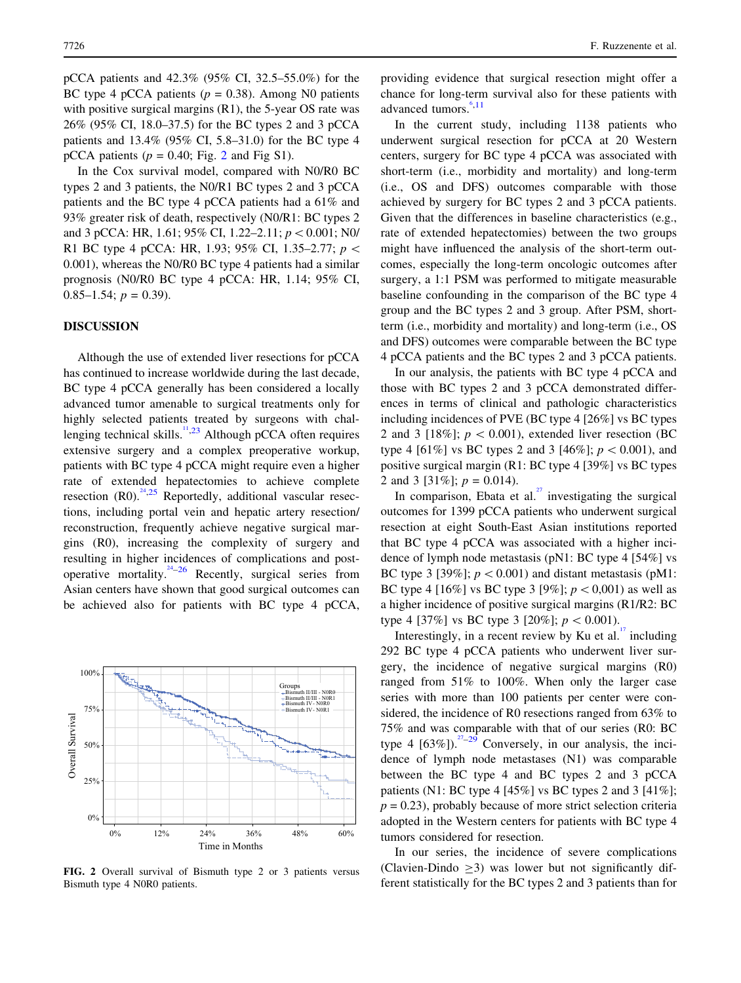pCCA patients and 42.3% (95% CI, 32.5–55.0%) for the BC type 4 pCCA patients ( $p = 0.38$ ). Among N0 patients with positive surgical margins (R1), the 5-year OS rate was 26% (95% CI, 18.0–37.5) for the BC types 2 and 3 pCCA patients and 13.4% (95% CI, 5.8–31.0) for the BC type 4 pCCA patients ( $p = 0.40$ ; Fig. 2 and Fig S1).

In the Cox survival model, compared with N0/R0 BC types 2 and 3 patients, the N0/R1 BC types 2 and 3 pCCA patients and the BC type 4 pCCA patients had a 61% and 93% greater risk of death, respectively (N0/R1: BC types 2 and 3 pCCA: HR, 1.61; 95% CI, 1.22–2.11;  $p < 0.001$ ; N0/ R1 BC type 4 pCCA: HR, 1.93; 95% CI, 1.35–2.77;  $p \le$ 0.001), whereas the N0/R0 BC type 4 patients had a similar prognosis (N0/R0 BC type 4 pCCA: HR, 1.14; 95% CI, 0.85–1.54;  $p = 0.39$ ).

## DISCUSSION

Although the use of extended liver resections for pCCA has continued to increase worldwide during the last decade, BC type 4 pCCA generally has been considered a locally advanced tumor amenable to surgical treatments only for highly selected patients treated by surgeons with chal-lenging technical skills.<sup>[11,23](#page-10-0)</sup> Although pCCA often requires extensive surgery and a complex preoperative workup, patients with BC type 4 pCCA might require even a higher rate of extended hepatectomies to achieve complete resection  $(R0)$ .<sup>[24,25](#page-10-0)</sup> Reportedly, additional vascular resections, including portal vein and hepatic artery resection/ reconstruction, frequently achieve negative surgical margins (R0), increasing the complexity of surgery and resulting in higher incidences of complications and post-operative mortality.<sup>[24–26](#page-10-0)</sup> Recently, surgical series from Asian centers have shown that good surgical outcomes can be achieved also for patients with BC type 4 pCCA,



FIG. 2 Overall survival of Bismuth type 2 or 3 patients versus Bismuth type 4 N0R0 patients.

providing evidence that surgical resection might offer a chance for long-term survival also for these patients with advanced tumors. $6,11$  $6,11$  $6,11$ 

In the current study, including 1138 patients who underwent surgical resection for pCCA at 20 Western centers, surgery for BC type 4 pCCA was associated with short-term (i.e., morbidity and mortality) and long-term (i.e., OS and DFS) outcomes comparable with those achieved by surgery for BC types 2 and 3 pCCA patients. Given that the differences in baseline characteristics (e.g., rate of extended hepatectomies) between the two groups might have influenced the analysis of the short-term outcomes, especially the long-term oncologic outcomes after surgery, a 1:1 PSM was performed to mitigate measurable baseline confounding in the comparison of the BC type 4 group and the BC types 2 and 3 group. After PSM, shortterm (i.e., morbidity and mortality) and long-term (i.e., OS and DFS) outcomes were comparable between the BC type 4 pCCA patients and the BC types 2 and 3 pCCA patients.

In our analysis, the patients with BC type 4 pCCA and those with BC types 2 and 3 pCCA demonstrated differences in terms of clinical and pathologic characteristics including incidences of PVE (BC type 4 [26%] vs BC types 2 and 3 [18%];  $p < 0.001$ ), extended liver resection (BC type 4 [61%] vs BC types 2 and 3 [46%];  $p < 0.001$ ), and positive surgical margin (R1: BC type 4 [39%] vs BC types 2 and 3 [31\% |;  $p = 0.014$ ).

In comparison, Ebata et al.<sup>[27](#page-10-0)</sup> investigating the surgical outcomes for 1399 pCCA patients who underwent surgical resection at eight South-East Asian institutions reported that BC type 4 pCCA was associated with a higher incidence of lymph node metastasis (pN1: BC type 4 [54%] vs BC type 3 [39%];  $p < 0.001$ ) and distant metastasis (pM1: BC type 4 [16%] vs BC type 3 [9%];  $p < 0.001$ ) as well as a higher incidence of positive surgical margins (R1/R2: BC type 4 [37%] vs BC type 3 [20%];  $p < 0.001$ ).

Interestingly, in a recent review by Ku et al. $17$  including 292 BC type 4 pCCA patients who underwent liver surgery, the incidence of negative surgical margins (R0) ranged from 51% to 100%. When only the larger case series with more than 100 patients per center were considered, the incidence of R0 resections ranged from 63% to 75% and was comparable with that of our series (R0: BC type 4  $[63\%]$ .<sup>27</sup>–29 Conversely, in our analysis, the incidence of lymph node metastases (N1) was comparable between the BC type 4 and BC types 2 and 3 pCCA patients (N1: BC type 4 [45%] vs BC types 2 and 3 [41%];  $p = 0.23$ ), probably because of more strict selection criteria adopted in the Western centers for patients with BC type 4 tumors considered for resection.

In our series, the incidence of severe complications (Clavien-Dindo  $\geq$ 3) was lower but not significantly different statistically for the BC types 2 and 3 patients than for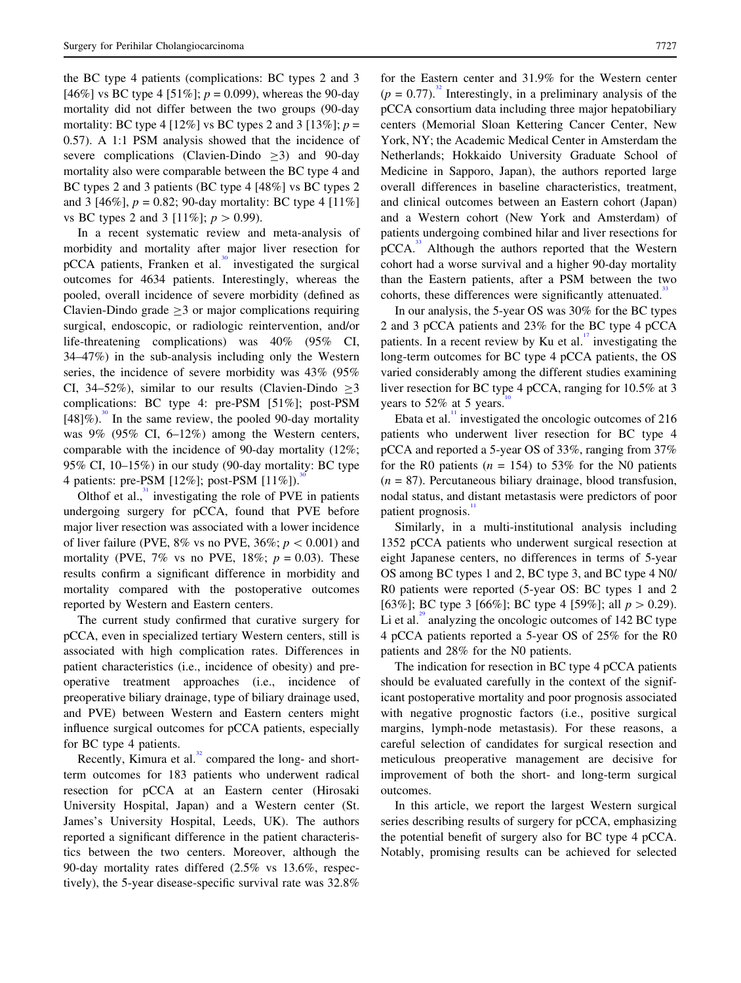the BC type 4 patients (complications: BC types 2 and 3 [46%] vs BC type 4 [51%];  $p = 0.099$ ), whereas the 90-day mortality did not differ between the two groups (90-day mortality: BC type 4 [12%] vs BC types 2 and 3 [13%];  $p =$ 0.57). A 1:1 PSM analysis showed that the incidence of severe complications (Clavien-Dindo  $>3$ ) and 90-day mortality also were comparable between the BC type 4 and BC types 2 and 3 patients (BC type 4 [48%] vs BC types 2 and 3 [46%],  $p = 0.82$ ; 90-day mortality: BC type 4 [11%] vs BC types 2 and 3 [11%];  $p > 0.99$ .

In a recent systematic review and meta-analysis of morbidity and mortality after major liver resection for  $pCCA$  patients, Franken et al.<sup>[30](#page-10-0)</sup> investigated the surgical outcomes for 4634 patients. Interestingly, whereas the pooled, overall incidence of severe morbidity (defined as Clavien-Dindo grade  $>3$  or major complications requiring surgical, endoscopic, or radiologic reintervention, and/or life-threatening complications) was 40% (95% CI, 34–47%) in the sub-analysis including only the Western series, the incidence of severe morbidity was 43% (95% CI, 34–52%), similar to our results (Clavien-Dindo  $>3$ complications: BC type 4: pre-PSM [51%]; post-PSM  $[48]\%$ ).<sup>[30](#page-10-0)</sup> In the same review, the pooled 90-day mortality was 9% (95% CI, 6–12%) among the Western centers, comparable with the incidence of 90-day mortality (12%; 95% CI, 10–15%) in our study (90-day mortality: BC type 4 patients: pre-PSM [12%]; post-PSM [11%]).[30](#page-10-0)

Olthof et al., $\frac{31}{2}$  $\frac{31}{2}$  $\frac{31}{2}$  investigating the role of PVE in patients undergoing surgery for pCCA, found that PVE before major liver resection was associated with a lower incidence of liver failure (PVE,  $8\%$  vs no PVE,  $36\%; p < 0.001$ ) and mortality (PVE,  $7\%$  vs no PVE,  $18\%$ ;  $p = 0.03$ ). These results confirm a significant difference in morbidity and mortality compared with the postoperative outcomes reported by Western and Eastern centers.

The current study confirmed that curative surgery for pCCA, even in specialized tertiary Western centers, still is associated with high complication rates. Differences in patient characteristics (i.e., incidence of obesity) and preoperative treatment approaches (i.e., incidence of preoperative biliary drainage, type of biliary drainage used, and PVE) between Western and Eastern centers might influence surgical outcomes for pCCA patients, especially for BC type 4 patients.

Recently, Kimura et al. $32$  compared the long- and shortterm outcomes for 183 patients who underwent radical resection for pCCA at an Eastern center (Hirosaki University Hospital, Japan) and a Western center (St. James's University Hospital, Leeds, UK). The authors reported a significant difference in the patient characteristics between the two centers. Moreover, although the 90-day mortality rates differed (2.5% vs 13.6%, respectively), the 5-year disease-specific survival rate was 32.8%

for the Eastern center and 31.9% for the Western center  $(p = 0.77)$ .<sup>[32](#page-10-0)</sup> Interestingly, in a preliminary analysis of the pCCA consortium data including three major hepatobiliary centers (Memorial Sloan Kettering Cancer Center, New York, NY; the Academic Medical Center in Amsterdam the Netherlands; Hokkaido University Graduate School of Medicine in Sapporo, Japan), the authors reported large overall differences in baseline characteristics, treatment, and clinical outcomes between an Eastern cohort (Japan) and a Western cohort (New York and Amsterdam) of patients undergoing combined hilar and liver resections for  $pCCA$ <sup>[33](#page-10-0)</sup> Although the authors reported that the Western cohort had a worse survival and a higher 90-day mortality than the Eastern patients, after a PSM between the two cohorts, these differences were significantly attenuated.

In our analysis, the 5-year OS was 30% for the BC types 2 and 3 pCCA patients and 23% for the BC type 4 pCCA patients. In a recent review by Ku et al. $\frac{1}{1}$  investigating the long-term outcomes for BC type 4 pCCA patients, the OS varied considerably among the different studies examining liver resection for BC type 4 pCCA, ranging for 10.5% at 3 years to  $52\%$  at 5 years.

Ebata et al.<sup>[11](#page-10-0)</sup> investigated the oncologic outcomes of  $216$ patients who underwent liver resection for BC type 4 pCCA and reported a 5-year OS of 33%, ranging from 37% for the R0 patients ( $n = 154$ ) to 53% for the N0 patients  $(n = 87)$ . Percutaneous biliary drainage, blood transfusion, nodal status, and distant metastasis were predictors of poor patient prognosis.<sup>1</sup>

Similarly, in a multi-institutional analysis including 1352 pCCA patients who underwent surgical resection at eight Japanese centers, no differences in terms of 5-year OS among BC types 1 and 2, BC type 3, and BC type 4 N0/ R0 patients were reported (5-year OS: BC types 1 and 2 [63%]; BC type 3 [66%]; BC type 4 [59%]; all  $p > 0.29$ ). Li et al.<sup>[29](#page-10-0)</sup> analyzing the oncologic outcomes of 142 BC type 4 pCCA patients reported a 5-year OS of 25% for the R0 patients and 28% for the N0 patients.

The indication for resection in BC type 4 pCCA patients should be evaluated carefully in the context of the significant postoperative mortality and poor prognosis associated with negative prognostic factors (i.e., positive surgical margins, lymph-node metastasis). For these reasons, a careful selection of candidates for surgical resection and meticulous preoperative management are decisive for improvement of both the short- and long-term surgical outcomes.

In this article, we report the largest Western surgical series describing results of surgery for pCCA, emphasizing the potential benefit of surgery also for BC type 4 pCCA. Notably, promising results can be achieved for selected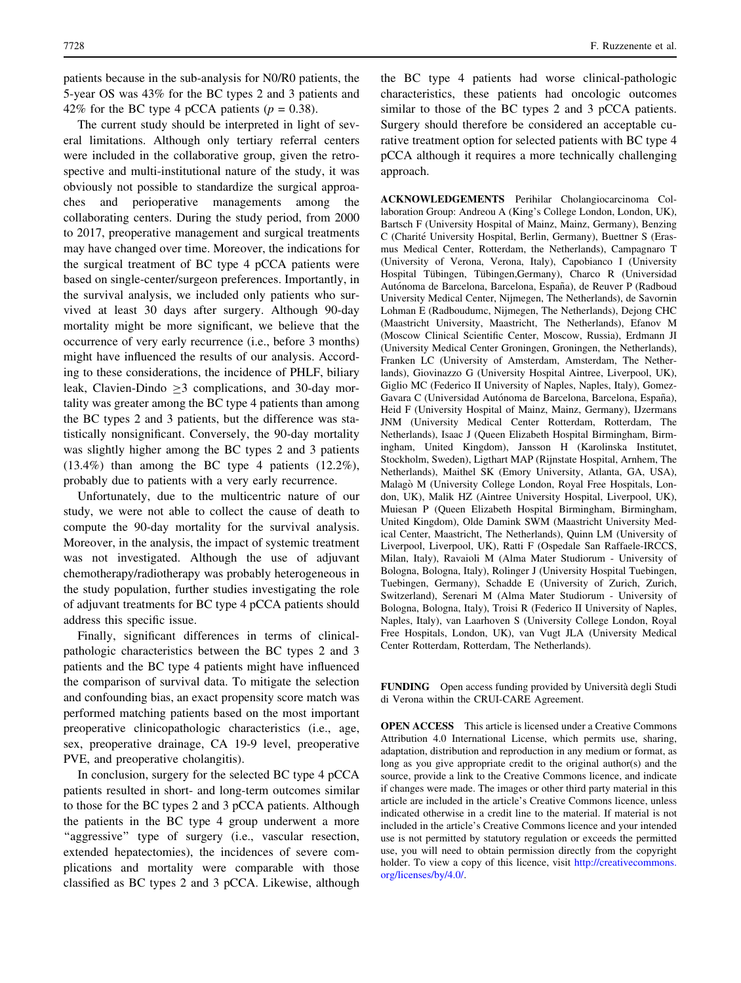patients because in the sub-analysis for N0/R0 patients, the 5-year OS was 43% for the BC types 2 and 3 patients and 42% for the BC type 4 pCCA patients ( $p = 0.38$ ).

The current study should be interpreted in light of several limitations. Although only tertiary referral centers were included in the collaborative group, given the retrospective and multi-institutional nature of the study, it was obviously not possible to standardize the surgical approaches and perioperative managements among the collaborating centers. During the study period, from 2000 to 2017, preoperative management and surgical treatments may have changed over time. Moreover, the indications for the surgical treatment of BC type 4 pCCA patients were based on single-center/surgeon preferences. Importantly, in the survival analysis, we included only patients who survived at least 30 days after surgery. Although 90-day mortality might be more significant, we believe that the occurrence of very early recurrence (i.e., before 3 months) might have influenced the results of our analysis. According to these considerations, the incidence of PHLF, biliary leak, Clavien-Dindo  $>3$  complications, and 30-day mortality was greater among the BC type 4 patients than among the BC types 2 and 3 patients, but the difference was statistically nonsignificant. Conversely, the 90-day mortality was slightly higher among the BC types 2 and 3 patients (13.4%) than among the BC type 4 patients (12.2%), probably due to patients with a very early recurrence.

Unfortunately, due to the multicentric nature of our study, we were not able to collect the cause of death to compute the 90-day mortality for the survival analysis. Moreover, in the analysis, the impact of systemic treatment was not investigated. Although the use of adjuvant chemotherapy/radiotherapy was probably heterogeneous in the study population, further studies investigating the role of adjuvant treatments for BC type 4 pCCA patients should address this specific issue.

Finally, significant differences in terms of clinicalpathologic characteristics between the BC types 2 and 3 patients and the BC type 4 patients might have influenced the comparison of survival data. To mitigate the selection and confounding bias, an exact propensity score match was performed matching patients based on the most important preoperative clinicopathologic characteristics (i.e., age, sex, preoperative drainage, CA 19-9 level, preoperative PVE, and preoperative cholangitis).

In conclusion, surgery for the selected BC type 4 pCCA patients resulted in short- and long-term outcomes similar to those for the BC types 2 and 3 pCCA patients. Although the patients in the BC type 4 group underwent a more "aggressive" type of surgery (i.e., vascular resection, extended hepatectomies), the incidences of severe complications and mortality were comparable with those classified as BC types 2 and 3 pCCA. Likewise, although

the BC type 4 patients had worse clinical-pathologic characteristics, these patients had oncologic outcomes similar to those of the BC types 2 and 3 pCCA patients. Surgery should therefore be considered an acceptable curative treatment option for selected patients with BC type 4 pCCA although it requires a more technically challenging approach.

ACKNOWLEDGEMENTS Perihilar Cholangiocarcinoma Collaboration Group: Andreou A (King's College London, London, UK), Bartsch F (University Hospital of Mainz, Mainz, Germany), Benzing C (Charité University Hospital, Berlin, Germany), Buettner S (Erasmus Medical Center, Rotterdam, the Netherlands), Campagnaro T (University of Verona, Verona, Italy), Capobianco I (University Hospital Tübingen, Tübingen,Germany), Charco R (Universidad Autónoma de Barcelona, Barcelona, España), de Reuver P (Radboud University Medical Center, Nijmegen, The Netherlands), de Savornin Lohman E (Radboudumc, Nijmegen, The Netherlands), Dejong CHC (Maastricht University, Maastricht, The Netherlands), Efanov M (Moscow Clinical Scientific Center, Moscow, Russia), Erdmann JI (University Medical Center Groningen, Groningen, the Netherlands), Franken LC (University of Amsterdam, Amsterdam, The Netherlands), Giovinazzo G (University Hospital Aintree, Liverpool, UK), Giglio MC (Federico II University of Naples, Naples, Italy), Gomez-Gavara C (Universidad Autónoma de Barcelona, Barcelona, España), Heid F (University Hospital of Mainz, Mainz, Germany), IJzermans JNM (University Medical Center Rotterdam, Rotterdam, The Netherlands), Isaac J (Queen Elizabeth Hospital Birmingham, Birmingham, United Kingdom), Jansson H (Karolinska Institutet, Stockholm, Sweden), Ligthart MAP (Rijnstate Hospital, Arnhem, The Netherlands), Maithel SK (Emory University, Atlanta, GA, USA), Malago` M (University College London, Royal Free Hospitals, London, UK), Malik HZ (Aintree University Hospital, Liverpool, UK), Muiesan P (Queen Elizabeth Hospital Birmingham, Birmingham, United Kingdom), Olde Damink SWM (Maastricht University Medical Center, Maastricht, The Netherlands), Quinn LM (University of Liverpool, Liverpool, UK), Ratti F (Ospedale San Raffaele-IRCCS, Milan, Italy), Ravaioli M (Alma Mater Studiorum - University of Bologna, Bologna, Italy), Rolinger J (University Hospital Tuebingen, Tuebingen, Germany), Schadde E (University of Zurich, Zurich, Switzerland), Serenari M (Alma Mater Studiorum - University of Bologna, Bologna, Italy), Troisi R (Federico II University of Naples, Naples, Italy), van Laarhoven S (University College London, Royal Free Hospitals, London, UK), van Vugt JLA (University Medical Center Rotterdam, Rotterdam, The Netherlands).

FUNDING Open access funding provided by Università degli Studi di Verona within the CRUI-CARE Agreement.

OPEN ACCESS This article is licensed under a Creative Commons Attribution 4.0 International License, which permits use, sharing, adaptation, distribution and reproduction in any medium or format, as long as you give appropriate credit to the original author(s) and the source, provide a link to the Creative Commons licence, and indicate if changes were made. The images or other third party material in this article are included in the article's Creative Commons licence, unless indicated otherwise in a credit line to the material. If material is not included in the article's Creative Commons licence and your intended use is not permitted by statutory regulation or exceeds the permitted use, you will need to obtain permission directly from the copyright holder. To view a copy of this licence, visit [http://creativecommons.](http://creativecommons.org/licenses/by/4.0/) [org/licenses/by/4.0/.](http://creativecommons.org/licenses/by/4.0/)